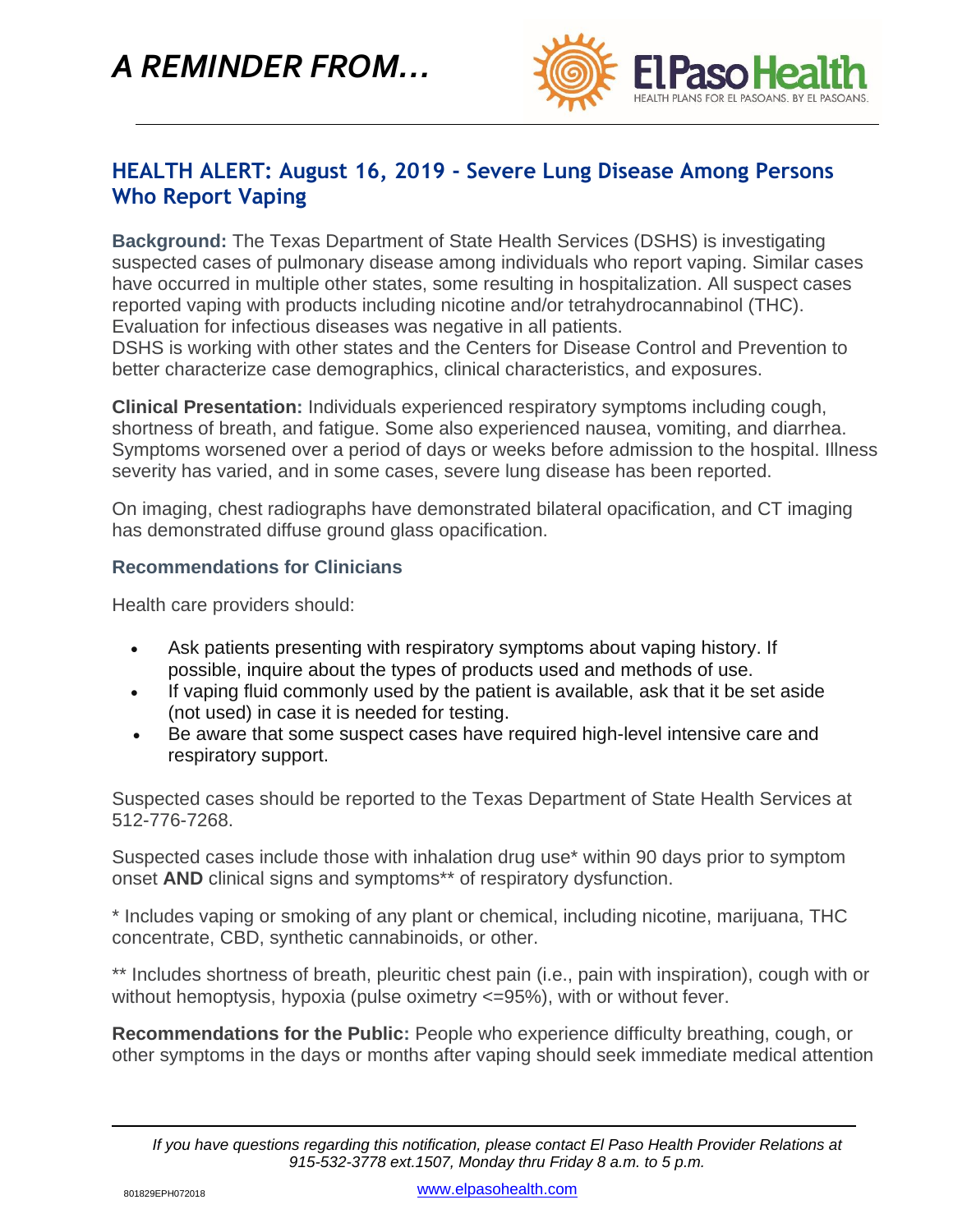*A REMINDER FROM…*



## **HEALTH ALERT: August 16, 2019 - Severe Lung Disease Among Persons Who Report Vaping**

**Background:** The Texas Department of State Health Services (DSHS) is investigating suspected cases of pulmonary disease among individuals who report vaping. Similar cases have occurred in multiple other states, some resulting in hospitalization. All suspect cases reported vaping with products including nicotine and/or tetrahydrocannabinol (THC). Evaluation for infectious diseases was negative in all patients.

DSHS is working with other states and the Centers for Disease Control and Prevention to better characterize case demographics, clinical characteristics, and exposures.

**Clinical Presentation:** Individuals experienced respiratory symptoms including cough, shortness of breath, and fatigue. Some also experienced nausea, vomiting, and diarrhea. Symptoms worsened over a period of days or weeks before admission to the hospital. Illness severity has varied, and in some cases, severe lung disease has been reported.

On imaging, chest radiographs have demonstrated bilateral opacification, and CT imaging has demonstrated diffuse ground glass opacification.

## **Recommendations for Clinicians**

Health care providers should:

- Ask patients presenting with respiratory symptoms about vaping history. If possible, inquire about the types of products used and methods of use.
- If vaping fluid commonly used by the patient is available, ask that it be set aside (not used) in case it is needed for testing.
- Be aware that some suspect cases have required high-level intensive care and respiratory support.

Suspected cases should be reported to the Texas Department of State Health Services at 512-776-7268.

Suspected cases include those with inhalation drug use\* within 90 days prior to symptom onset **AND** clinical signs and symptoms\*\* of respiratory dysfunction.

\* Includes vaping or smoking of any plant or chemical, including nicotine, marijuana, THC concentrate, CBD, synthetic cannabinoids, or other.

\*\* Includes shortness of breath, pleuritic chest pain (i.e., pain with inspiration), cough with or without hemoptysis, hypoxia (pulse oximetry  $\leq$ =95%), with or without fever.

**Recommendations for the Public:** People who experience difficulty breathing, cough, or other symptoms in the days or months after vaping should seek immediate medical attention

*If you have questions regarding this notification, please contact El Paso Health Provider Relations at 915-532-3778 ext.1507, Monday thru Friday 8 a.m. to 5 p.m.*